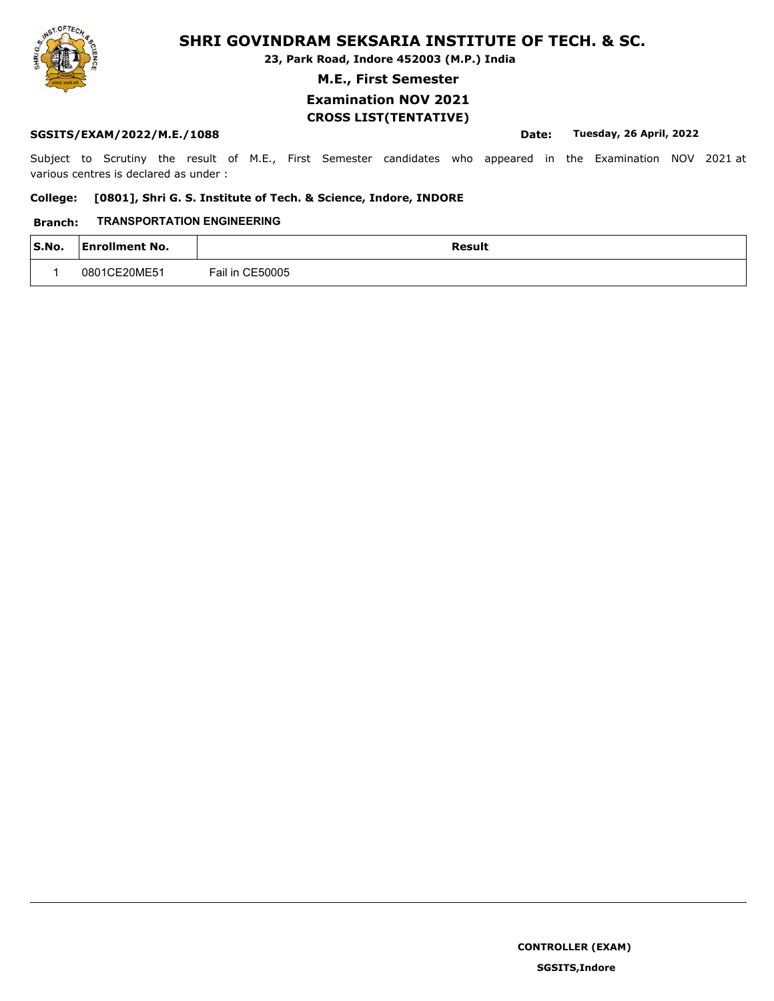**23, Park Road, Indore 452003 (M.P.) India**

**M.E., First Semester**

## **Examination NOV 2021 CROSS LIST(TENTATIVE)**

## **SGSITS/EXAM/2022/M.E./1088 Date: Tuesday, 26 April, 2022**

Subject to Scrutiny the result of M.E., First Semester candidates who appeared in the Examination NOV 2021 at various centres is declared as under :

### **College: [0801], Shri G. S. Institute of Tech. & Science, Indore, INDORE**

### **Branch: TRANSPORTATION ENGINEERING**

| $\mathsf{S}.\mathsf{No}.$ | <b>Enrollment No.</b> | Result          |
|---------------------------|-----------------------|-----------------|
|                           | 0801CF20MF51          | Fail in CE50005 |

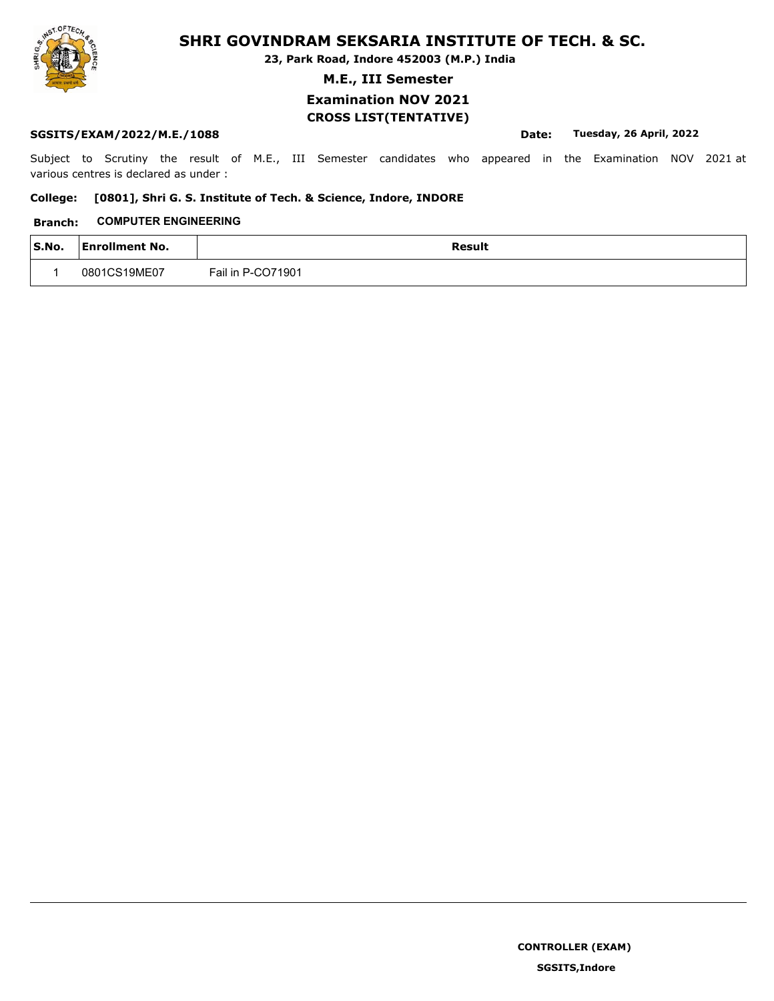**23, Park Road, Indore 452003 (M.P.) India**

**M.E., III Semester**

## **Examination NOV 2021 CROSS LIST(TENTATIVE)**

## **SGSITS/EXAM/2022/M.E./1088 Date: Tuesday, 26 April, 2022**

Subject to Scrutiny the result of M.E., III Semester candidates who appeared in the Examination NOV 2021 at various centres is declared as under :

### **College: [0801], Shri G. S. Institute of Tech. & Science, Indore, INDORE**

## **Branch: COMPUTER ENGINEERING**

| $\mathsf{S}.\mathsf{No}.$ | <b>Enrollment No.</b> | Result            |
|---------------------------|-----------------------|-------------------|
|                           | 0801CS19ME07          | Fail in P-CO71901 |

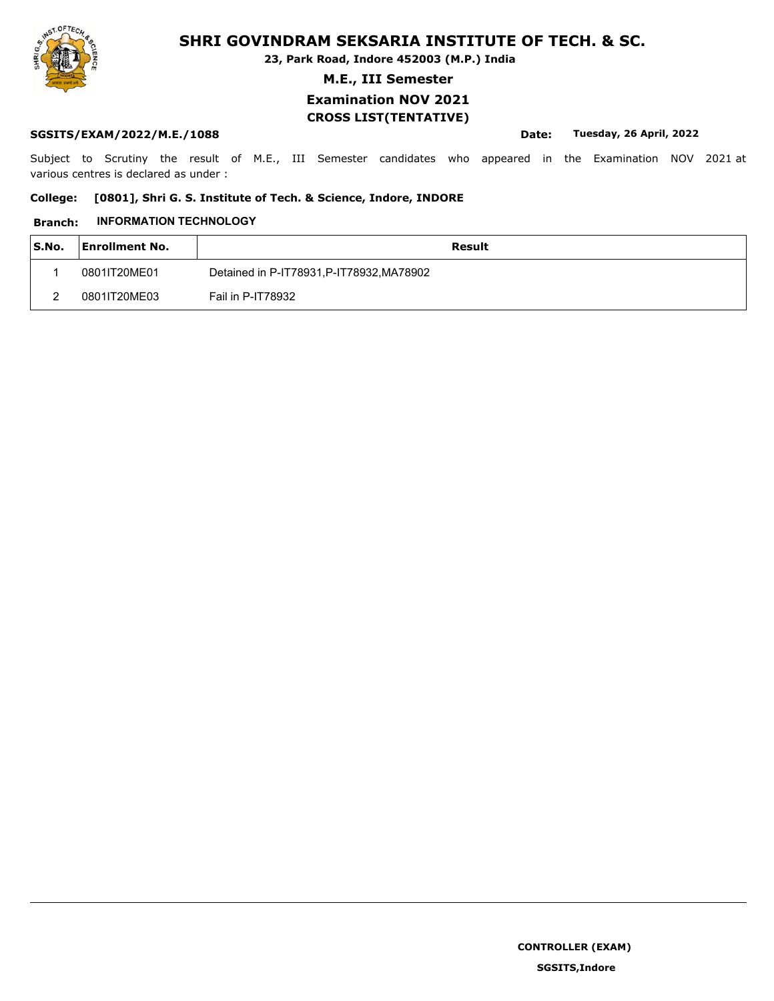**23, Park Road, Indore 452003 (M.P.) India**

**M.E., III Semester**

## **Examination NOV 2021 CROSS LIST(TENTATIVE)**

### **SGSITS/EXAM/2022/M.E./1088 Date: Tuesday, 26 April, 2022**

Subject to Scrutiny the result of M.E., III Semester candidates who appeared in the Examination NOV 2021 at various centres is declared as under :

## **College: [0801], Shri G. S. Institute of Tech. & Science, Indore, INDORE**

### **Branch: INFORMATION TECHNOLOGY**

| S.No. | <b>Enrollment No.</b> | Result                                    |
|-------|-----------------------|-------------------------------------------|
|       | 0801IT20ME01          | Detained in P-IT78931, P-IT78932, MA78902 |
|       | 0801IT20ME03          | Fail in P-IT78932                         |

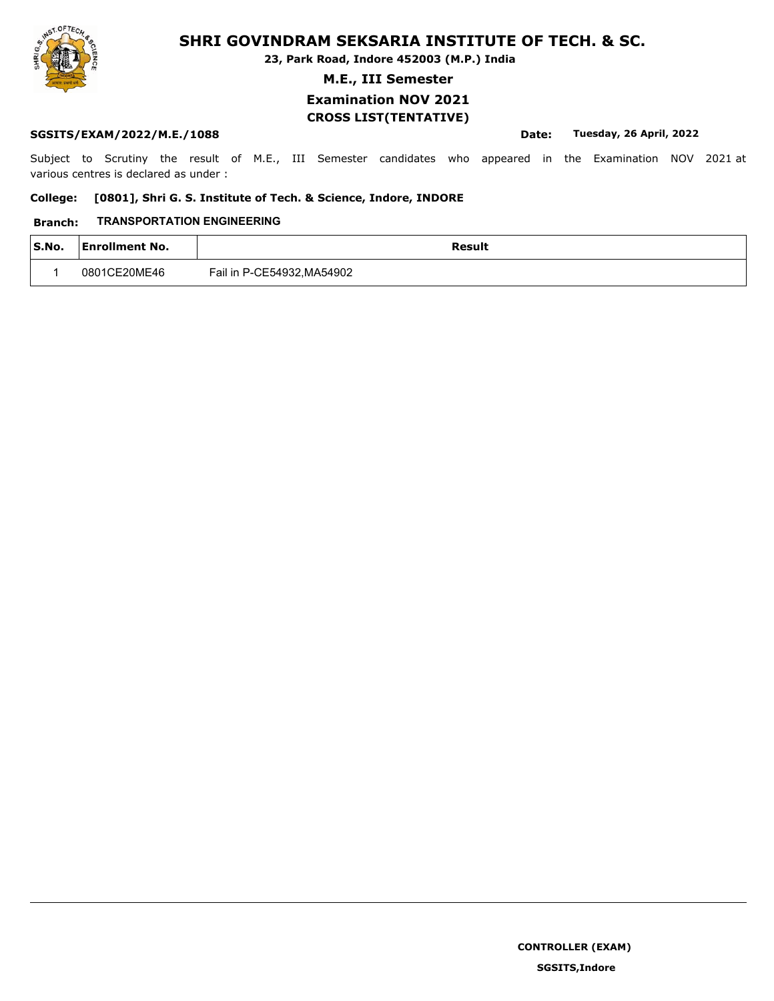**23, Park Road, Indore 452003 (M.P.) India**

**M.E., III Semester**

## **Examination NOV 2021 CROSS LIST(TENTATIVE)**

## **SGSITS/EXAM/2022/M.E./1088 Date: Tuesday, 26 April, 2022**

Subject to Scrutiny the result of M.E., III Semester candidates who appeared in the Examination NOV 2021 at various centres is declared as under :

### **College: [0801], Shri G. S. Institute of Tech. & Science, Indore, INDORE**

### **Branch: TRANSPORTATION ENGINEERING**

| S.No. | <b>Enrollment No.</b> | <b>Result</b>              |
|-------|-----------------------|----------------------------|
|       | 0801CE20ME46          | Fail in P-CE54932, MA54902 |